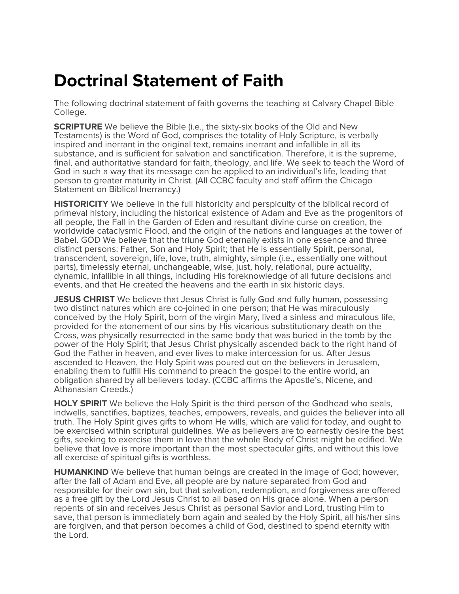## **Doctrinal Statement of Faith**

The following doctrinal statement of faith governs the teaching at Calvary Chapel Bible College.

**SCRIPTURE** We believe the Bible (i.e., the sixty-six books of the Old and New Testaments) is the Word of God, comprises the totality of Holy Scripture, is verbally inspired and inerrant in the original text, remains inerrant and infallible in all its substance, and is sufficient for salvation and sanctification. Therefore, it is the supreme, final, and authoritative standard for faith, theology, and life. We seek to teach the Word of God in such a way that its message can be applied to an individual's life, leading that person to greater maturity in Christ. (All CCBC faculty and staff affirm the Chicago Statement on Biblical Inerrancy.)

**HISTORICITY** We believe in the full historicity and perspicuity of the biblical record of primeval history, including the historical existence of Adam and Eve as the progenitors of all people, the Fall in the Garden of Eden and resultant divine curse on creation, the worldwide cataclysmic Flood, and the origin of the nations and languages at the tower of Babel. GOD We believe that the triune God eternally exists in one essence and three distinct persons: Father, Son and Holy Spirit; that He is essentially Spirit, personal, transcendent, sovereign, life, love, truth, almighty, simple (i.e., essentially one without parts), timelessly eternal, unchangeable, wise, just, holy, relational, pure actuality, dynamic, infallible in all things, including His foreknowledge of all future decisions and events, and that He created the heavens and the earth in six historic days.

**JESUS CHRIST** We believe that Jesus Christ is fully God and fully human, possessing two distinct natures which are co-joined in one person; that He was miraculously conceived by the Holy Spirit, born of the virgin Mary, lived a sinless and miraculous life, provided for the atonement of our sins by His vicarious substitutionary death on the Cross, was physically resurrected in the same body that was buried in the tomb by the power of the Holy Spirit; that Jesus Christ physically ascended back to the right hand of God the Father in heaven, and ever lives to make intercession for us. After Jesus ascended to Heaven, the Holy Spirit was poured out on the believers in Jerusalem, enabling them to fulfill His command to preach the gospel to the entire world, an obligation shared by all believers today. (CCBC affirms the Apostle's, Nicene, and Athanasian Creeds.)

**HOLY SPIRIT** We believe the Holy Spirit is the third person of the Godhead who seals, indwells, sanctifies, baptizes, teaches, empowers, reveals, and guides the believer into all truth. The Holy Spirit gives gifts to whom He wills, which are valid for today, and ought to be exercised within scriptural guidelines. We as believers are to earnestly desire the best gifts, seeking to exercise them in love that the whole Body of Christ might be edified. We believe that love is more important than the most spectacular gifts, and without this love all exercise of spiritual gifts is worthless.

**HUMANKIND** We believe that human beings are created in the image of God; however, after the fall of Adam and Eve, all people are by nature separated from God and responsible for their own sin, but that salvation, redemption, and forgiveness are offered as a free gift by the Lord Jesus Christ to all based on His grace alone. When a person repents of sin and receives Jesus Christ as personal Savior and Lord, trusting Him to save, that person is immediately born again and sealed by the Holy Spirit, all his/her sins are forgiven, and that person becomes a child of God, destined to spend eternity with the Lord.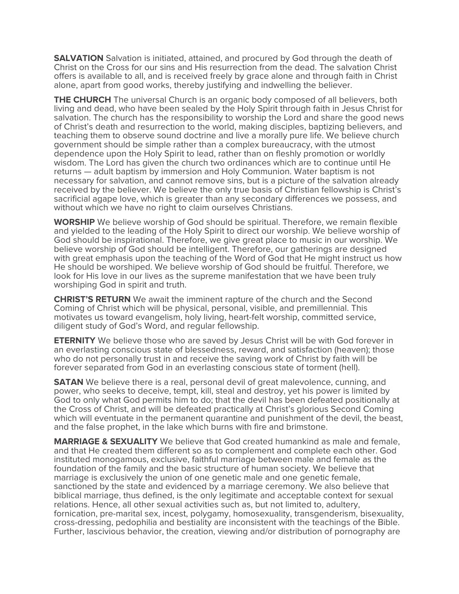**SALVATION** Salvation is initiated, attained, and procured by God through the death of Christ on the Cross for our sins and His resurrection from the dead. The salvation Christ offers is available to all, and is received freely by grace alone and through faith in Christ alone, apart from good works, thereby justifying and indwelling the believer.

**THE CHURCH** The universal Church is an organic body composed of all believers, both living and dead, who have been sealed by the Holy Spirit through faith in Jesus Christ for salvation. The church has the responsibility to worship the Lord and share the good news of Christ's death and resurrection to the world, making disciples, baptizing believers, and teaching them to observe sound doctrine and live a morally pure life. We believe church government should be simple rather than a complex bureaucracy, with the utmost dependence upon the Holy Spirit to lead, rather than on fleshly promotion or worldly wisdom. The Lord has given the church two ordinances which are to continue until He returns — adult baptism by immersion and Holy Communion. Water baptism is not necessary for salvation, and cannot remove sins, but is a picture of the salvation already received by the believer. We believe the only true basis of Christian fellowship is Christ's sacrificial agape love, which is greater than any secondary differences we possess, and without which we have no right to claim ourselves Christians.

**WORSHIP** We believe worship of God should be spiritual. Therefore, we remain flexible and yielded to the leading of the Holy Spirit to direct our worship. We believe worship of God should be inspirational. Therefore, we give great place to music in our worship. We believe worship of God should be intelligent. Therefore, our gatherings are designed with great emphasis upon the teaching of the Word of God that He might instruct us how He should be worshiped. We believe worship of God should be fruitful. Therefore, we look for His love in our lives as the supreme manifestation that we have been truly worshiping God in spirit and truth.

**CHRIST'S RETURN** We await the imminent rapture of the church and the Second Coming of Christ which will be physical, personal, visible, and premillennial. This motivates us toward evangelism, holy living, heart-felt worship, committed service, diligent study of God's Word, and regular fellowship.

**ETERNITY** We believe those who are saved by Jesus Christ will be with God forever in an everlasting conscious state of blessedness, reward, and satisfaction (heaven); those who do not personally trust in and receive the saving work of Christ by faith will be forever separated from God in an everlasting conscious state of torment (hell).

**SATAN** We believe there is a real, personal devil of great malevolence, cunning, and power, who seeks to deceive, tempt, kill, steal and destroy, yet his power is limited by God to only what God permits him to do; that the devil has been defeated positionally at the Cross of Christ, and will be defeated practically at Christ's glorious Second Coming which will eventuate in the permanent quarantine and punishment of the devil, the beast, and the false prophet, in the lake which burns with fire and brimstone.

**MARRIAGE & SEXUALITY** We believe that God created humankind as male and female, and that He created them different so as to complement and complete each other. God instituted monogamous, exclusive, faithful marriage between male and female as the foundation of the family and the basic structure of human society. We believe that marriage is exclusively the union of one genetic male and one genetic female, sanctioned by the state and evidenced by a marriage ceremony. We also believe that biblical marriage, thus defined, is the only legitimate and acceptable context for sexual relations. Hence, all other sexual activities such as, but not limited to, adultery, fornication, pre-marital sex, incest, polygamy, homosexuality, transgenderism, bisexuality, cross-dressing, pedophilia and bestiality are inconsistent with the teachings of the Bible. Further, lascivious behavior, the creation, viewing and/or distribution of pornography are